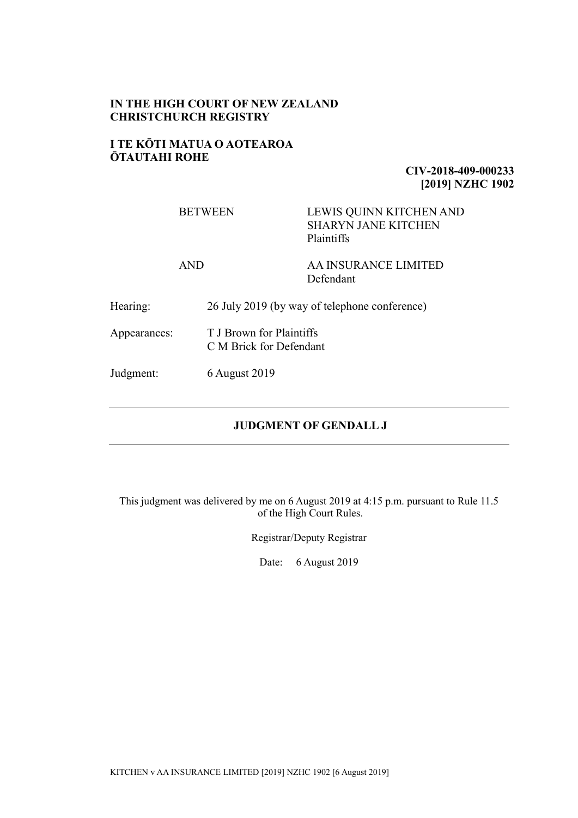### **IN THE HIGH COURT OF NEW ZEALAND CHRISTCHURCH REGISTRY**

### **I TE KŌTI MATUA O AOTEAROA ŌTAUTAHI ROHE**

### **CIV-2018-409-000233 [2019] NZHC 1902**

# BETWEEN LEWIS QUINN KITCHEN AND SHARYN JANE KITCHEN Plaintiffs

### AND AA INSURANCE LIMITED Defendant

- Hearing: 26 July 2019 (by way of telephone conference)
- Appearances: T J Brown for Plaintiffs C M Brick for Defendant
- Judgment: 6 August 2019

## **JUDGMENT OF GENDALL J**

This judgment was delivered by me on 6 August 2019 at 4:15 p.m. pursuant to Rule 11.5 of the High Court Rules.

Registrar/Deputy Registrar

Date: 6 August 2019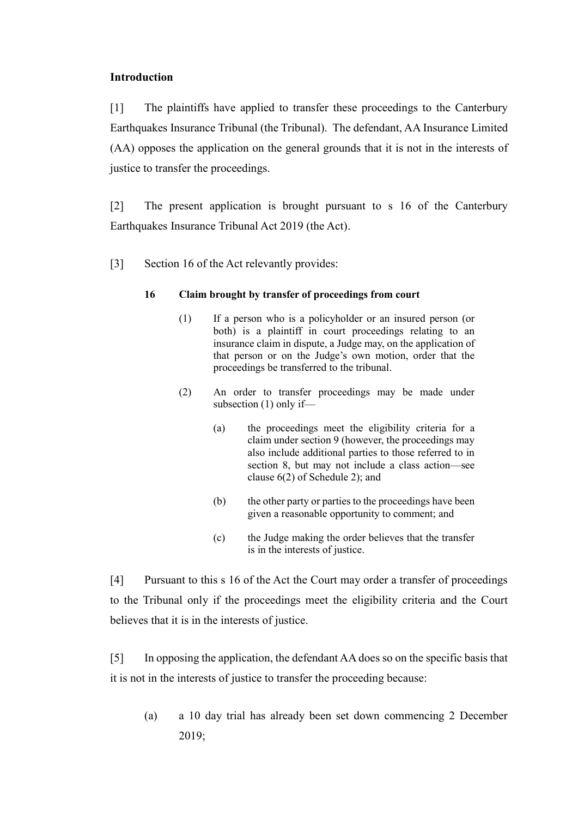### **Introduction**

[1] The plaintiffs have applied to transfer these proceedings to the Canterbury Earthquakes Insurance Tribunal (the Tribunal). The defendant, AA Insurance Limited (AA) opposes the application on the general grounds that it is not in the interests of justice to transfer the proceedings.

[2] The present application is brought pursuant to s 16 of the Canterbury Earthquakes Insurance Tribunal Act 2019 (the Act).

[3] Section 16 of the Act relevantly provides:

### **16 Claim brought by transfer of proceedings from court**

- (1) If a person who is a policyholder or an insured person (or both) is a plaintiff in court proceedings relating to an insurance claim in dispute, a Judge may, on the application of that person or on the Judge's own motion, order that the proceedings be transferred to the tribunal.
- (2) An order to transfer proceedings may be made under subsection (1) only if—
	- (a) the proceedings meet the eligibility criteria for a claim under section 9 (however, the proceedings may also include additional parties to those referred to in section 8, but may not include a class action—see clause 6(2) of Schedule 2); and
	- (b) the other party or parties to the proceedings have been given a reasonable opportunity to comment; and
	- (c) the Judge making the order believes that the transfer is in the interests of justice.

[4] Pursuant to this s 16 of the Act the Court may order a transfer of proceedings to the Tribunal only if the proceedings meet the eligibility criteria and the Court believes that it is in the interests of justice.

[5] In opposing the application, the defendant AA does so on the specific basis that it is not in the interests of justice to transfer the proceeding because:

(a) a 10 day trial has already been set down commencing 2 December 2019;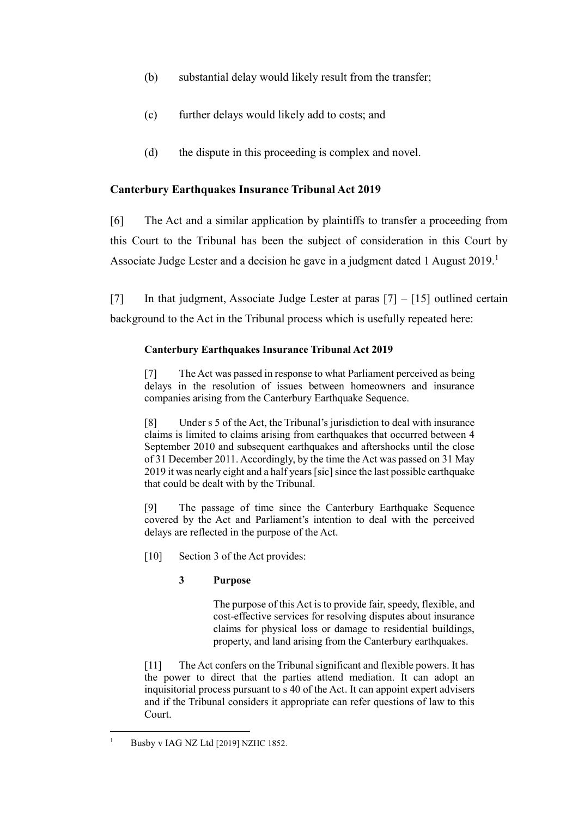- (b) substantial delay would likely result from the transfer;
- (c) further delays would likely add to costs; and
- (d) the dispute in this proceeding is complex and novel.

# **Canterbury Earthquakes Insurance Tribunal Act 2019**

[6] The Act and a similar application by plaintiffs to transfer a proceeding from this Court to the Tribunal has been the subject of consideration in this Court by Associate Judge Lester and a decision he gave in a judgment dated 1 August  $2019<sup>1</sup>$ 

<span id="page-2-0"></span>[7] In that judgment, Associate Judge Lester at paras  $[7] - [15]$  outlined certain background to the Act in the Tribunal process which is usefully repeated here:

### <span id="page-2-1"></span>**Canterbury Earthquakes Insurance Tribunal Act 2019**

[7] The Act was passed in response to what Parliament perceived as being delays in the resolution of issues between homeowners and insurance companies arising from the Canterbury Earthquake Sequence.

[8] Under s 5 of the Act, the Tribunal's jurisdiction to deal with insurance claims is limited to claims arising from earthquakes that occurred between 4 September 2010 and subsequent earthquakes and aftershocks until the close of 31 December 2011. Accordingly, by the time the Act was passed on 31 May 2019 it was nearly eight and a half years [sic] since the last possible earthquake that could be dealt with by the Tribunal.

[9] The passage of time since the Canterbury Earthquake Sequence covered by the Act and Parliament's intention to deal with the perceived delays are reflected in the purpose of the Act.

[10] Section 3 of the Act provides:

## **3 Purpose**

The purpose of this Act is to provide fair, speedy, flexible, and cost-effective services for resolving disputes about insurance claims for physical loss or damage to residential buildings, property, and land arising from the Canterbury earthquakes.

[11] The Act confers on the Tribunal significant and flexible powers. It has the power to direct that the parties attend mediation. It can adopt an inquisitorial process pursuant to s 40 of the Act. It can appoint expert advisers and if the Tribunal considers it appropriate can refer questions of law to this Court.

 $\overline{a}$ 

<sup>&</sup>lt;sup>1</sup> Busby v IAG NZ Ltd [2019] NZHC 1852.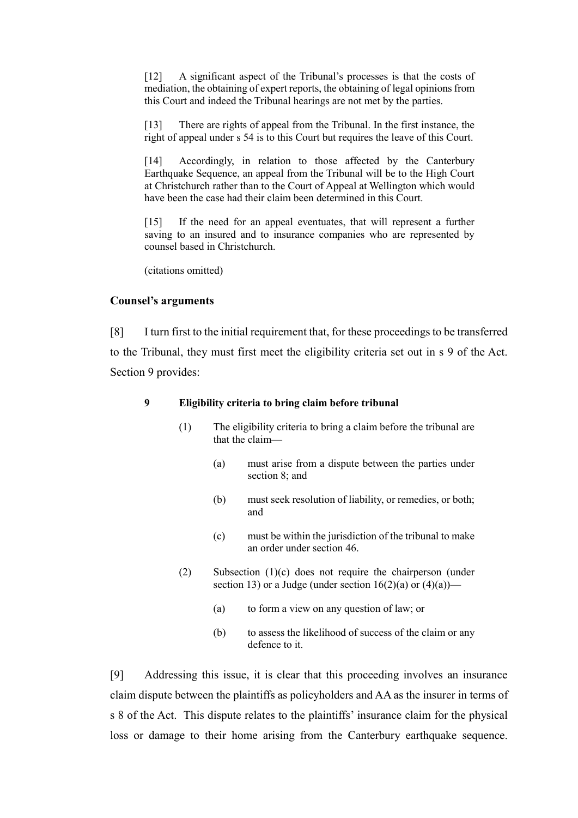[12] A significant aspect of the Tribunal's processes is that the costs of mediation, the obtaining of expert reports, the obtaining of legal opinions from this Court and indeed the Tribunal hearings are not met by the parties.

[13] There are rights of appeal from the Tribunal. In the first instance, the right of appeal under s 54 is to this Court but requires the leave of this Court.

[14] Accordingly, in relation to those affected by the Canterbury Earthquake Sequence, an appeal from the Tribunal will be to the High Court at Christchurch rather than to the Court of Appeal at Wellington which would have been the case had their claim been determined in this Court.

[15] If the need for an appeal eventuates, that will represent a further saving to an insured and to insurance companies who are represented by counsel based in Christchurch.

(citations omitted)

#### **Counsel's arguments**

[8] I turn first to the initial requirement that, for these proceedings to be transferred to the Tribunal, they must first meet the eligibility criteria set out in s 9 of the Act. Section 9 provides:

### **9 Eligibility criteria to bring claim before tribunal**

- (1) The eligibility criteria to bring a claim before the tribunal are that the claim—
	- (a) must arise from a dispute between the parties under section 8; and
	- (b) must seek resolution of liability, or remedies, or both; and
	- (c) must be within the jurisdiction of the tribunal to make an order under section 46.
- (2) Subsection (1)(c) does not require the chairperson (under section 13) or a Judge (under section  $16(2)(a)$  or  $(4)(a)$ )—
	- (a) to form a view on any question of law; or
	- (b) to assess the likelihood of success of the claim or any defence to it.

[9] Addressing this issue, it is clear that this proceeding involves an insurance claim dispute between the plaintiffs as policyholders and AA as the insurer in terms of s 8 of the Act. This dispute relates to the plaintiffs' insurance claim for the physical loss or damage to their home arising from the Canterbury earthquake sequence.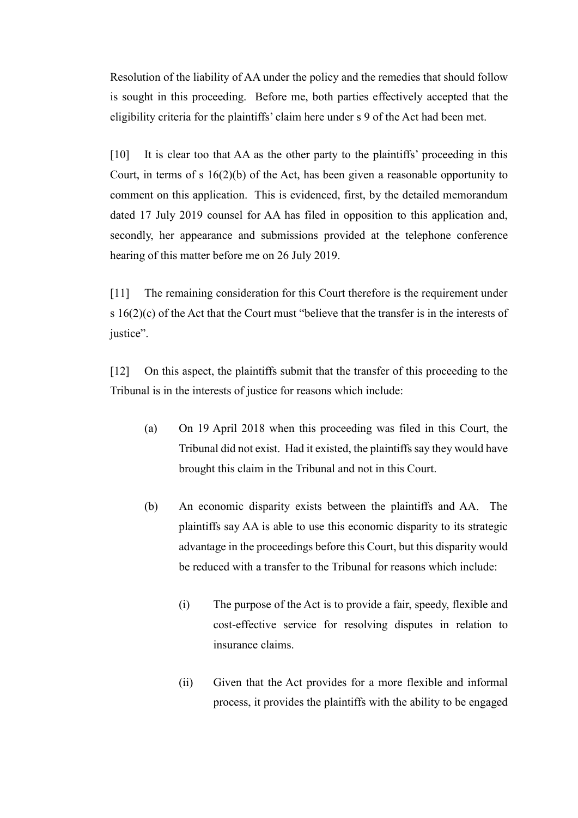Resolution of the liability of AA under the policy and the remedies that should follow is sought in this proceeding. Before me, both parties effectively accepted that the eligibility criteria for the plaintiffs' claim here under s 9 of the Act had been met.

[10] It is clear too that AA as the other party to the plaintiffs' proceeding in this Court, in terms of s 16(2)(b) of the Act, has been given a reasonable opportunity to comment on this application. This is evidenced, first, by the detailed memorandum dated 17 July 2019 counsel for AA has filed in opposition to this application and, secondly, her appearance and submissions provided at the telephone conference hearing of this matter before me on 26 July 2019.

[11] The remaining consideration for this Court therefore is the requirement under s 16(2)(c) of the Act that the Court must "believe that the transfer is in the interests of justice".

[12] On this aspect, the plaintiffs submit that the transfer of this proceeding to the Tribunal is in the interests of justice for reasons which include:

- (a) On 19 April 2018 when this proceeding was filed in this Court, the Tribunal did not exist. Had it existed, the plaintiffs say they would have brought this claim in the Tribunal and not in this Court.
- (b) An economic disparity exists between the plaintiffs and AA. The plaintiffs say AA is able to use this economic disparity to its strategic advantage in the proceedings before this Court, but this disparity would be reduced with a transfer to the Tribunal for reasons which include:
	- (i) The purpose of the Act is to provide a fair, speedy, flexible and cost-effective service for resolving disputes in relation to insurance claims.
	- (ii) Given that the Act provides for a more flexible and informal process, it provides the plaintiffs with the ability to be engaged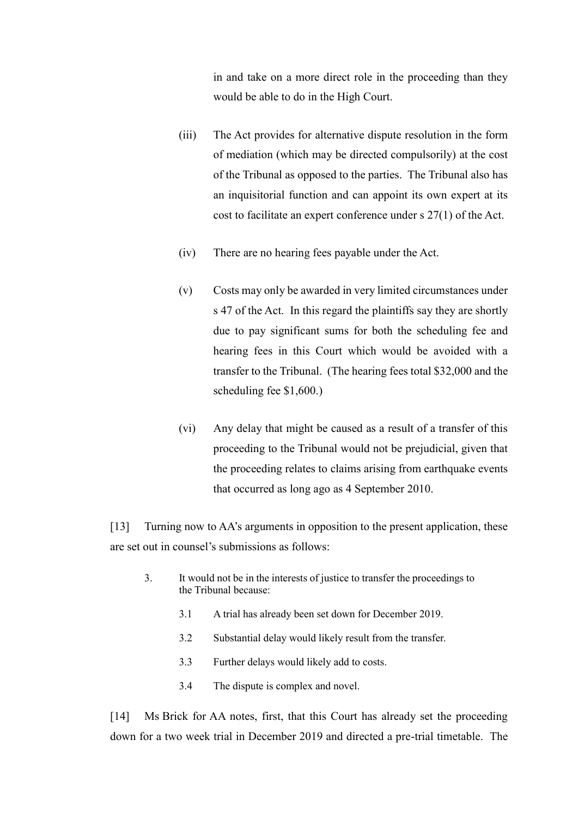in and take on a more direct role in the proceeding than they would be able to do in the High Court.

- (iii) The Act provides for alternative dispute resolution in the form of mediation (which may be directed compulsorily) at the cost of the Tribunal as opposed to the parties. The Tribunal also has an inquisitorial function and can appoint its own expert at its cost to facilitate an expert conference under s 27(1) of the Act.
- (iv) There are no hearing fees payable under the Act.
- (v) Costs may only be awarded in very limited circumstances under s 47 of the Act. In this regard the plaintiffs say they are shortly due to pay significant sums for both the scheduling fee and hearing fees in this Court which would be avoided with a transfer to the Tribunal. (The hearing fees total \$32,000 and the scheduling fee \$1,600.)
- (vi) Any delay that might be caused as a result of a transfer of this proceeding to the Tribunal would not be prejudicial, given that the proceeding relates to claims arising from earthquake events that occurred as long ago as 4 September 2010.

[13] Turning now to AA's arguments in opposition to the present application, these are set out in counsel's submissions as follows:

- 3. It would not be in the interests of justice to transfer the proceedings to the Tribunal because:
	- 3.1 A trial has already been set down for December 2019.
	- 3.2 Substantial delay would likely result from the transfer.
	- 3.3 Further delays would likely add to costs.
	- 3.4 The dispute is complex and novel.

[14] Ms Brick for AA notes, first, that this Court has already set the proceeding down for a two week trial in December 2019 and directed a pre-trial timetable. The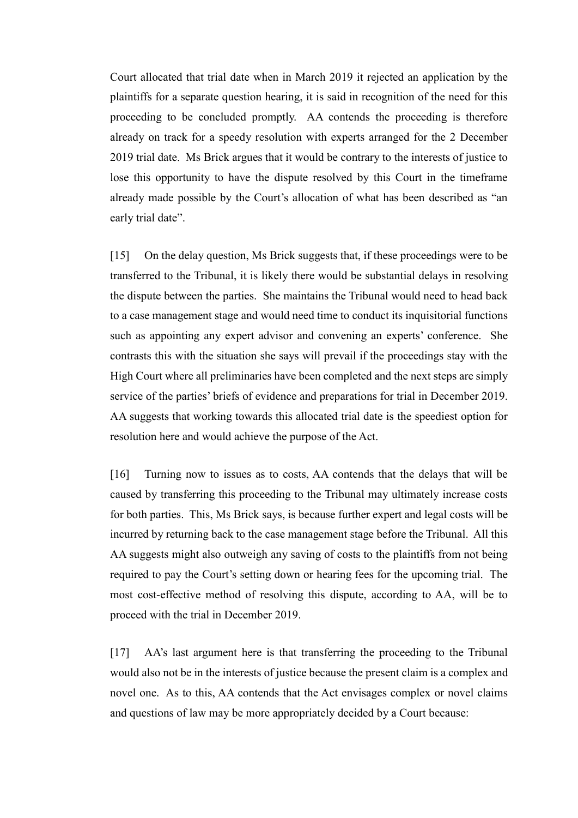Court allocated that trial date when in March 2019 it rejected an application by the plaintiffs for a separate question hearing, it is said in recognition of the need for this proceeding to be concluded promptly. AA contends the proceeding is therefore already on track for a speedy resolution with experts arranged for the 2 December 2019 trial date. Ms Brick argues that it would be contrary to the interests of justice to lose this opportunity to have the dispute resolved by this Court in the timeframe already made possible by the Court's allocation of what has been described as "an early trial date".

[15] On the delay question, Ms Brick suggests that, if these proceedings were to be transferred to the Tribunal, it is likely there would be substantial delays in resolving the dispute between the parties. She maintains the Tribunal would need to head back to a case management stage and would need time to conduct its inquisitorial functions such as appointing any expert advisor and convening an experts' conference. She contrasts this with the situation she says will prevail if the proceedings stay with the High Court where all preliminaries have been completed and the next steps are simply service of the parties' briefs of evidence and preparations for trial in December 2019. AA suggests that working towards this allocated trial date is the speediest option for resolution here and would achieve the purpose of the Act.

[16] Turning now to issues as to costs, AA contends that the delays that will be caused by transferring this proceeding to the Tribunal may ultimately increase costs for both parties. This, Ms Brick says, is because further expert and legal costs will be incurred by returning back to the case management stage before the Tribunal. All this AA suggests might also outweigh any saving of costs to the plaintiffs from not being required to pay the Court's setting down or hearing fees for the upcoming trial. The most cost-effective method of resolving this dispute, according to AA, will be to proceed with the trial in December 2019.

[17] AA's last argument here is that transferring the proceeding to the Tribunal would also not be in the interests of justice because the present claim is a complex and novel one. As to this, AA contends that the Act envisages complex or novel claims and questions of law may be more appropriately decided by a Court because: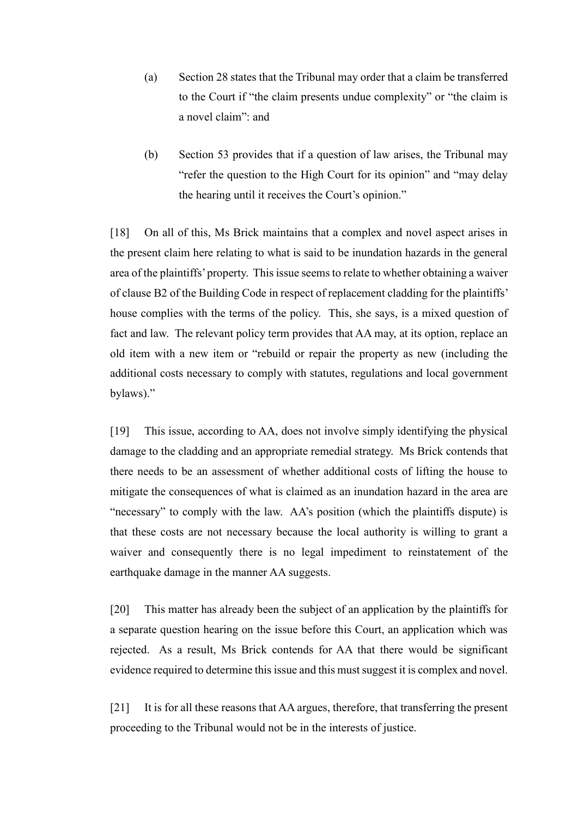- (a) Section 28 states that the Tribunal may order that a claim be transferred to the Court if "the claim presents undue complexity" or "the claim is a novel claim": and
- (b) Section 53 provides that if a question of law arises, the Tribunal may "refer the question to the High Court for its opinion" and "may delay the hearing until it receives the Court's opinion."

[18] On all of this, Ms Brick maintains that a complex and novel aspect arises in the present claim here relating to what is said to be inundation hazards in the general area of the plaintiffs' property. This issue seems to relate to whether obtaining a waiver of clause B2 of the Building Code in respect of replacement cladding for the plaintiffs' house complies with the terms of the policy. This, she says, is a mixed question of fact and law. The relevant policy term provides that AA may, at its option, replace an old item with a new item or "rebuild or repair the property as new (including the additional costs necessary to comply with statutes, regulations and local government bylaws)."

[19] This issue, according to AA, does not involve simply identifying the physical damage to the cladding and an appropriate remedial strategy. Ms Brick contends that there needs to be an assessment of whether additional costs of lifting the house to mitigate the consequences of what is claimed as an inundation hazard in the area are "necessary" to comply with the law. AA's position (which the plaintiffs dispute) is that these costs are not necessary because the local authority is willing to grant a waiver and consequently there is no legal impediment to reinstatement of the earthquake damage in the manner AA suggests.

[20] This matter has already been the subject of an application by the plaintiffs for a separate question hearing on the issue before this Court, an application which was rejected. As a result, Ms Brick contends for AA that there would be significant evidence required to determine this issue and this must suggest it is complex and novel.

[21] It is for all these reasons that AA argues, therefore, that transferring the present proceeding to the Tribunal would not be in the interests of justice.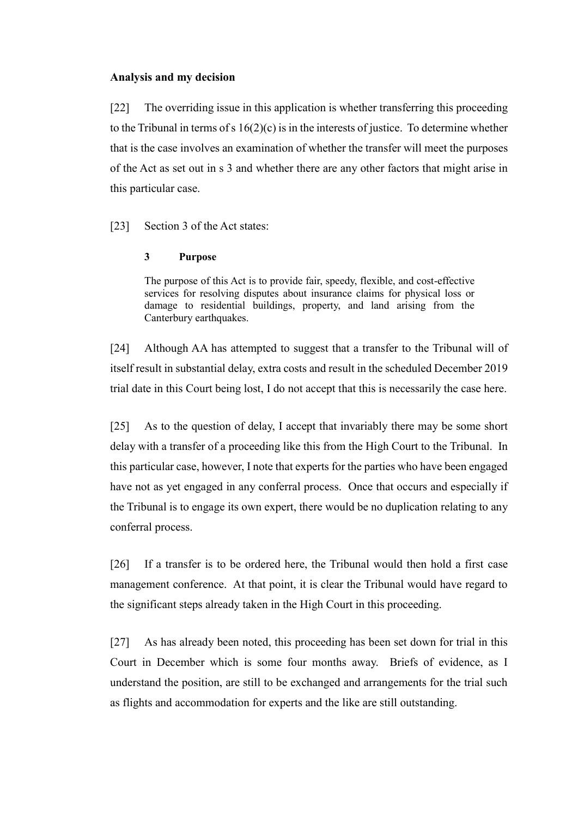#### **Analysis and my decision**

[22] The overriding issue in this application is whether transferring this proceeding to the Tribunal in terms of s 16(2)(c) is in the interests of justice. To determine whether that is the case involves an examination of whether the transfer will meet the purposes of the Act as set out in s 3 and whether there are any other factors that might arise in this particular case.

[23] Section 3 of the Act states:

#### **3 Purpose**

The purpose of this Act is to provide fair, speedy, flexible, and cost-effective services for resolving disputes about insurance claims for physical loss or damage to residential buildings, property, and land arising from the Canterbury earthquakes.

[24] Although AA has attempted to suggest that a transfer to the Tribunal will of itself result in substantial delay, extra costs and result in the scheduled December 2019 trial date in this Court being lost, I do not accept that this is necessarily the case here.

[25] As to the question of delay, I accept that invariably there may be some short delay with a transfer of a proceeding like this from the High Court to the Tribunal. In this particular case, however, I note that experts for the parties who have been engaged have not as yet engaged in any conferral process. Once that occurs and especially if the Tribunal is to engage its own expert, there would be no duplication relating to any conferral process.

[26] If a transfer is to be ordered here, the Tribunal would then hold a first case management conference. At that point, it is clear the Tribunal would have regard to the significant steps already taken in the High Court in this proceeding.

[27] As has already been noted, this proceeding has been set down for trial in this Court in December which is some four months away. Briefs of evidence, as I understand the position, are still to be exchanged and arrangements for the trial such as flights and accommodation for experts and the like are still outstanding.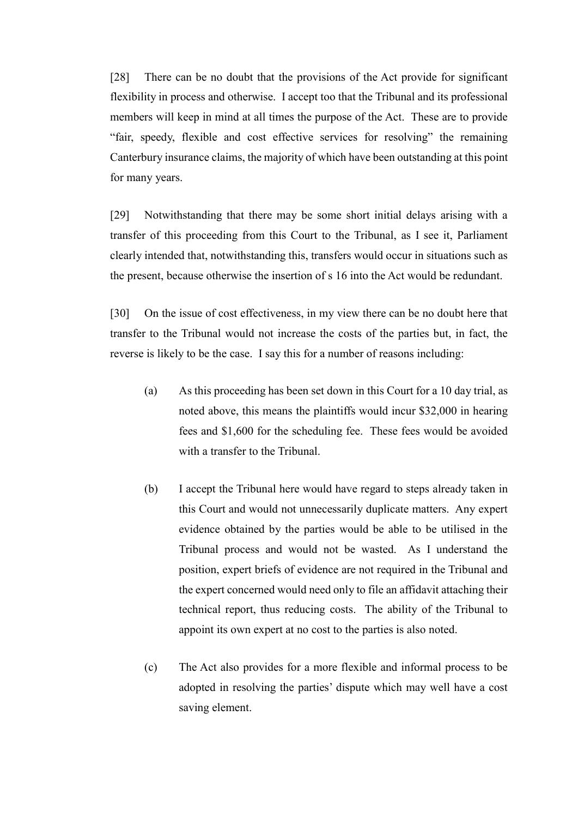[28] There can be no doubt that the provisions of the Act provide for significant flexibility in process and otherwise. I accept too that the Tribunal and its professional members will keep in mind at all times the purpose of the Act. These are to provide "fair, speedy, flexible and cost effective services for resolving" the remaining Canterbury insurance claims, the majority of which have been outstanding at this point for many years.

[29] Notwithstanding that there may be some short initial delays arising with a transfer of this proceeding from this Court to the Tribunal, as I see it, Parliament clearly intended that, notwithstanding this, transfers would occur in situations such as the present, because otherwise the insertion of s 16 into the Act would be redundant.

[30] On the issue of cost effectiveness, in my view there can be no doubt here that transfer to the Tribunal would not increase the costs of the parties but, in fact, the reverse is likely to be the case. I say this for a number of reasons including:

- (a) As this proceeding has been set down in this Court for a 10 day trial, as noted above, this means the plaintiffs would incur \$32,000 in hearing fees and \$1,600 for the scheduling fee. These fees would be avoided with a transfer to the Tribunal.
- (b) I accept the Tribunal here would have regard to steps already taken in this Court and would not unnecessarily duplicate matters. Any expert evidence obtained by the parties would be able to be utilised in the Tribunal process and would not be wasted. As I understand the position, expert briefs of evidence are not required in the Tribunal and the expert concerned would need only to file an affidavit attaching their technical report, thus reducing costs. The ability of the Tribunal to appoint its own expert at no cost to the parties is also noted.
- (c) The Act also provides for a more flexible and informal process to be adopted in resolving the parties' dispute which may well have a cost saving element.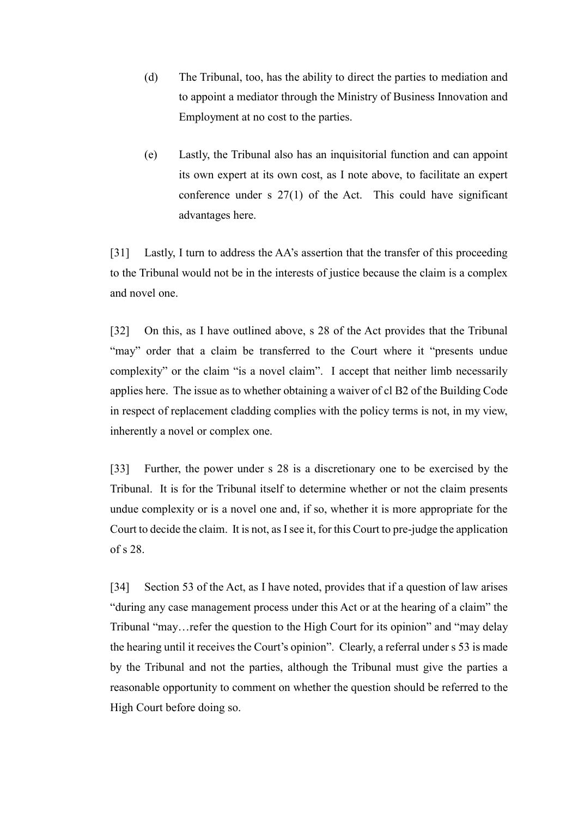- (d) The Tribunal, too, has the ability to direct the parties to mediation and to appoint a mediator through the Ministry of Business Innovation and Employment at no cost to the parties.
- (e) Lastly, the Tribunal also has an inquisitorial function and can appoint its own expert at its own cost, as I note above, to facilitate an expert conference under s 27(1) of the Act. This could have significant advantages here.

[31] Lastly, I turn to address the AA's assertion that the transfer of this proceeding to the Tribunal would not be in the interests of justice because the claim is a complex and novel one.

[32] On this, as I have outlined above, s 28 of the Act provides that the Tribunal "may" order that a claim be transferred to the Court where it "presents undue complexity" or the claim "is a novel claim". I accept that neither limb necessarily applies here. The issue as to whether obtaining a waiver of cl B2 of the Building Code in respect of replacement cladding complies with the policy terms is not, in my view, inherently a novel or complex one.

[33] Further, the power under s 28 is a discretionary one to be exercised by the Tribunal. It is for the Tribunal itself to determine whether or not the claim presents undue complexity or is a novel one and, if so, whether it is more appropriate for the Court to decide the claim. It is not, as I see it, for this Court to pre-judge the application of s 28.

[34] Section 53 of the Act, as I have noted, provides that if a question of law arises "during any case management process under this Act or at the hearing of a claim" the Tribunal "may…refer the question to the High Court for its opinion" and "may delay the hearing until it receives the Court's opinion". Clearly, a referral under s 53 is made by the Tribunal and not the parties, although the Tribunal must give the parties a reasonable opportunity to comment on whether the question should be referred to the High Court before doing so.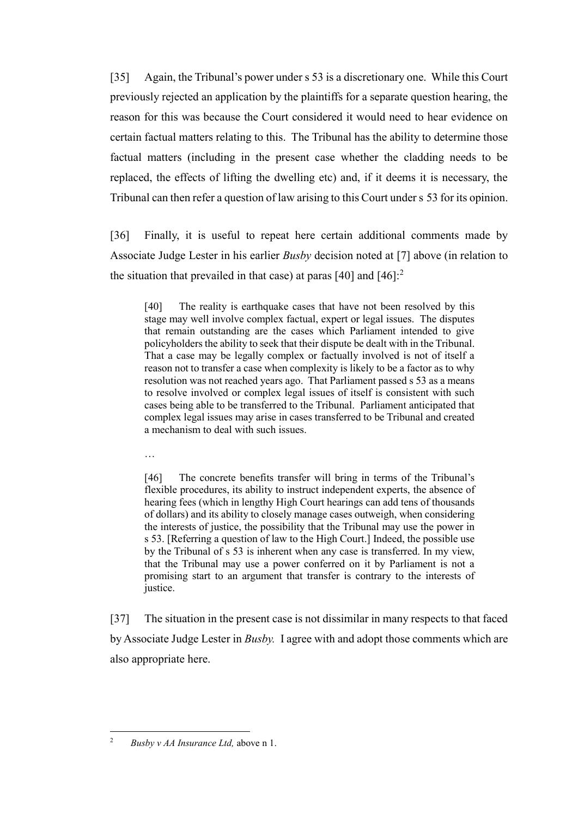[35] Again, the Tribunal's power under s 53 is a discretionary one. While this Court previously rejected an application by the plaintiffs for a separate question hearing, the reason for this was because the Court considered it would need to hear evidence on certain factual matters relating to this. The Tribunal has the ability to determine those factual matters (including in the present case whether the cladding needs to be replaced, the effects of lifting the dwelling etc) and, if it deems it is necessary, the Tribunal can then refer a question of law arising to this Court under s 53 for its opinion.

[36] Finally, it is useful to repeat here certain additional comments made by Associate Judge Lester in his earlier *Busby* decision noted at [\[7\]](#page-2-0) above (in relation to the situation that prevailed in that case) at paras  $[40]$  and  $[46]$ :<sup>2</sup>

[40] The reality is earthquake cases that have not been resolved by this stage may well involve complex factual, expert or legal issues. The disputes that remain outstanding are the cases which Parliament intended to give policyholders the ability to seek that their dispute be dealt with in the Tribunal. That a case may be legally complex or factually involved is not of itself a reason not to transfer a case when complexity is likely to be a factor as to why resolution was not reached years ago. That Parliament passed s 53 as a means to resolve involved or complex legal issues of itself is consistent with such cases being able to be transferred to the Tribunal. Parliament anticipated that complex legal issues may arise in cases transferred to be Tribunal and created a mechanism to deal with such issues.

…

[46] The concrete benefits transfer will bring in terms of the Tribunal's flexible procedures, its ability to instruct independent experts, the absence of hearing fees (which in lengthy High Court hearings can add tens of thousands of dollars) and its ability to closely manage cases outweigh, when considering the interests of justice, the possibility that the Tribunal may use the power in s 53. [Referring a question of law to the High Court.] Indeed, the possible use by the Tribunal of s 53 is inherent when any case is transferred. In my view, that the Tribunal may use a power conferred on it by Parliament is not a promising start to an argument that transfer is contrary to the interests of justice.

[37] The situation in the present case is not dissimilar in many respects to that faced by Associate Judge Lester in *Busby.* I agree with and adopt those comments which are also appropriate here.

 $\overline{a}$ <sup>2</sup> *Busby v AA Insurance Ltd,* above [n 1.](#page-2-1)